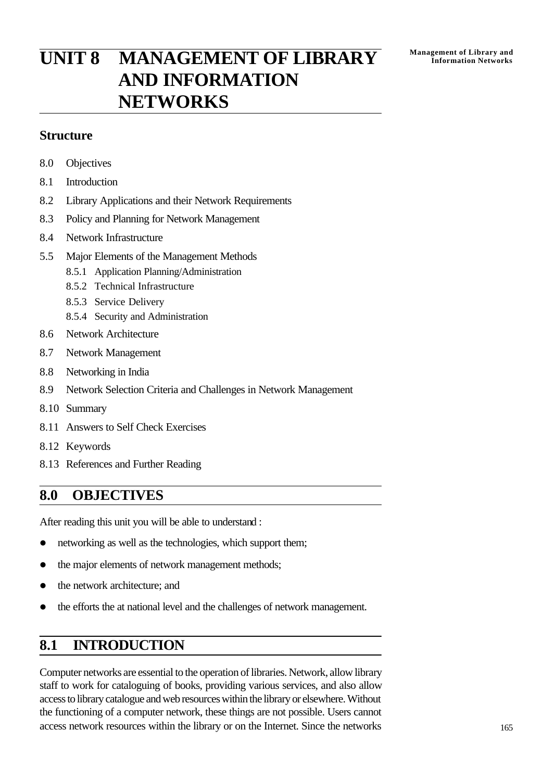# **Management of Library and UNIT 8 MANAGEMENT OF LIBRARY Information Networks AND INFORMATION NETWORKS**

### **Structure**

- 8.0 Objectives
- 8.1 Introduction
- 8.2 Library Applications and their Network Requirements
- 8.3 Policy and Planning for Network Management
- 8.4 Network Infrastructure
- 5.5 Major Elements of the Management Methods
	- 8.5.1 Application Planning/Administration
	- 8.5.2 Technical Infrastructure
	- 8.5.3 Service Delivery
	- 8.5.4 Security and Administration
- 8.6 Network Architecture
- 8.7 Network Management
- 8.8 Networking in India
- 8.9 Network Selection Criteria and Challenges in Network Management
- 8.10 Summary
- 8.11 Answers to Self Check Exercises
- 8.12 Keywords
- 8.13 References and Further Reading

## **8.0 OBJECTIVES**

After reading this unit you will be able to understand :

- networking as well as the technologies, which support them;
- the major elements of network management methods;
- the network architecture; and
- the efforts the at national level and the challenges of network management.

## **8.1 INTRODUCTION**

Computer networks are essential to the operation of libraries. Network, allow library staff to work for cataloguing of books, providing various services, and also allow access to library catalogue and web resources within the library or elsewhere. Without the functioning of a computer network, these things are not possible. Users cannot access network resources within the library or on the Internet. Since the networks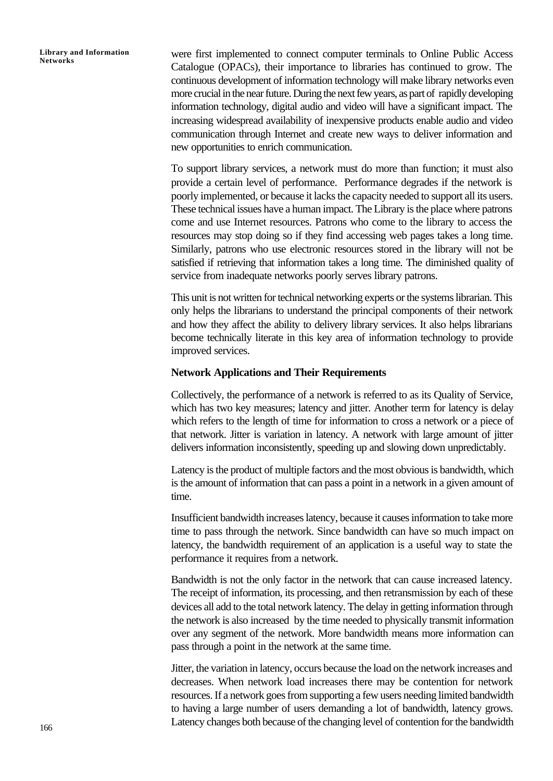were first implemented to connect computer terminals to Online Public Access Catalogue (OPACs), their importance to libraries has continued to grow. The continuous development of information technology will make library networks even more crucial in the near future. During the next few years, as part of rapidly developing information technology, digital audio and video will have a significant impact. The increasing widespread availability of inexpensive products enable audio and video communication through Internet and create new ways to deliver information and new opportunities to enrich communication.

To support library services, a network must do more than function; it must also provide a certain level of performance. Performance degrades if the network is poorly implemented, or because it lacks the capacity needed to support all its users. These technical issues have a human impact. The Library is the place where patrons come and use Internet resources. Patrons who come to the library to access the resources may stop doing so if they find accessing web pages takes a long time. Similarly, patrons who use electronic resources stored in the library will not be satisfied if retrieving that information takes a long time. The diminished quality of service from inadequate networks poorly serves library patrons.

This unit is not written for technical networking experts or the systems librarian. This only helps the librarians to understand the principal components of their network and how they affect the ability to delivery library services. It also helps librarians become technically literate in this key area of information technology to provide improved services.

#### **Network Applications and Their Requirements**

Collectively, the performance of a network is referred to as its Quality of Service, which has two key measures; latency and jitter. Another term for latency is delay which refers to the length of time for information to cross a network or a piece of that network. Jitter is variation in latency. A network with large amount of jitter delivers information inconsistently, speeding up and slowing down unpredictably.

Latency is the product of multiple factors and the most obvious is bandwidth, which is the amount of information that can pass a point in a network in a given amount of time.

Insufficient bandwidth increases latency, because it causes information to take more time to pass through the network. Since bandwidth can have so much impact on latency, the bandwidth requirement of an application is a useful way to state the performance it requires from a network.

Bandwidth is not the only factor in the network that can cause increased latency. The receipt of information, its processing, and then retransmission by each of these devices all add to the total network latency. The delay in getting information through the network is also increased by the time needed to physically transmit information over any segment of the network. More bandwidth means more information can pass through a point in the network at the same time.

Jitter, the variation in latency, occurs because the load on the network increases and decreases. When network load increases there may be contention for network resources. If a network goes from supporting a few users needing limited bandwidth to having a large number of users demanding a lot of bandwidth, latency grows. Latency changes both because of the changing level of contention for the bandwidth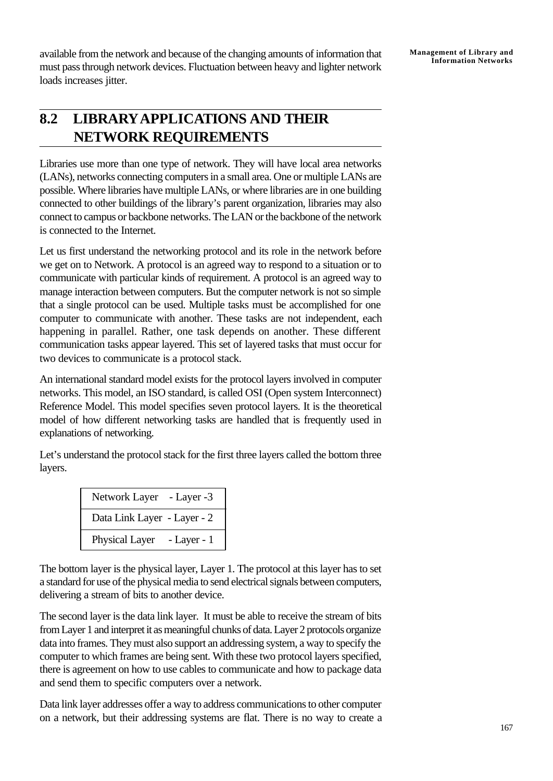available from the network and because of the changing amounts of information that must pass through network devices. Fluctuation between heavy and lighter network loads increases jitter.

## **8.2 LIBRARYAPPLICATIONS AND THEIR NETWORK REQUIREMENTS**

Libraries use more than one type of network. They will have local area networks (LANs), networks connecting computers in a small area. One or multiple LANs are possible. Where libraries have multiple LANs, or where libraries are in one building connected to other buildings of the library's parent organization, libraries may also connect to campus or backbone networks. The LAN or the backbone of the network is connected to the Internet.

Let us first understand the networking protocol and its role in the network before we get on to Network. A protocol is an agreed way to respond to a situation or to communicate with particular kinds of requirement. A protocol is an agreed way to manage interaction between computers. But the computer network is not so simple that a single protocol can be used. Multiple tasks must be accomplished for one computer to communicate with another. These tasks are not independent, each happening in parallel. Rather, one task depends on another. These different communication tasks appear layered. This set of layered tasks that must occur for two devices to communicate is a protocol stack.

An international standard model exists for the protocol layers involved in computer networks. This model, an ISO standard, is called OSI (Open system Interconnect) Reference Model. This model specifies seven protocol layers. It is the theoretical model of how different networking tasks are handled that is frequently used in explanations of networking.

Let's understand the protocol stack for the first three layers called the bottom three layers.

| Network Layer               | - Layer -3 |
|-----------------------------|------------|
| Data Link Layer - Layer - 2 |            |
| Physical Layer              | $-Layer-1$ |

The bottom layer is the physical layer, Layer 1. The protocol at this layer has to set a standard for use of the physical media to send electrical signals between computers, delivering a stream of bits to another device.

The second layer is the data link layer. It must be able to receive the stream of bits from Layer 1 and interpret it as meaningful chunks of data. Layer 2 protocols organize data into frames. They must also support an addressing system, a way to specify the computer to which frames are being sent. With these two protocol layers specified, there is agreement on how to use cables to communicate and how to package data and send them to specific computers over a network.

Data link layer addresses offer a way to address communications to other computer on a network, but their addressing systems are flat. There is no way to create a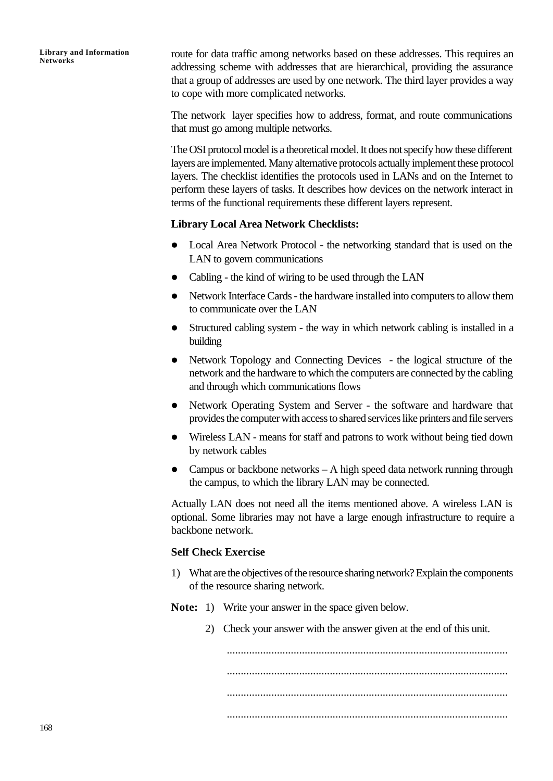route for data traffic among networks based on these addresses. This requires an addressing scheme with addresses that are hierarchical, providing the assurance that a group of addresses are used by one network. The third layer provides a way to cope with more complicated networks.

The network layer specifies how to address, format, and route communications that must go among multiple networks.

The OSI protocol model is a theoretical model. It does not specify how these different layers are implemented. Many alternative protocols actually implement these protocol layers. The checklist identifies the protocols used in LANs and on the Internet to perform these layers of tasks. It describes how devices on the network interact in terms of the functional requirements these different layers represent.

#### **Library Local Area Network Checklists:**

- Local Area Network Protocol the networking standard that is used on the LAN to govern communications
- Cabling the kind of wiring to be used through the LAN
- Network Interface Cards the hardware installed into computers to allow them to communicate over the LAN
- Structured cabling system the way in which network cabling is installed in a building
- Network Topology and Connecting Devices the logical structure of the network and the hardware to which the computers are connected by the cabling and through which communications flows
- Network Operating System and Server the software and hardware that provides the computer with access to shared services like printers and file servers
- Wireless LAN means for staff and patrons to work without being tied down by network cables
- Campus or backbone networks  $A$  high speed data network running through the campus, to which the library LAN may be connected.

Actually LAN does not need all the items mentioned above. A wireless LAN is optional. Some libraries may not have a large enough infrastructure to require a backbone network.

#### **Self Check Exercise**

- 1) What are the objectives of the resource sharing network? Explain the components of the resource sharing network.
- **Note:** 1) Write your answer in the space given below.
	- 2) Check your answer with the answer given at the end of this unit.

..................................................................................................... ..................................................................................................... ..................................................................................................... .....................................................................................................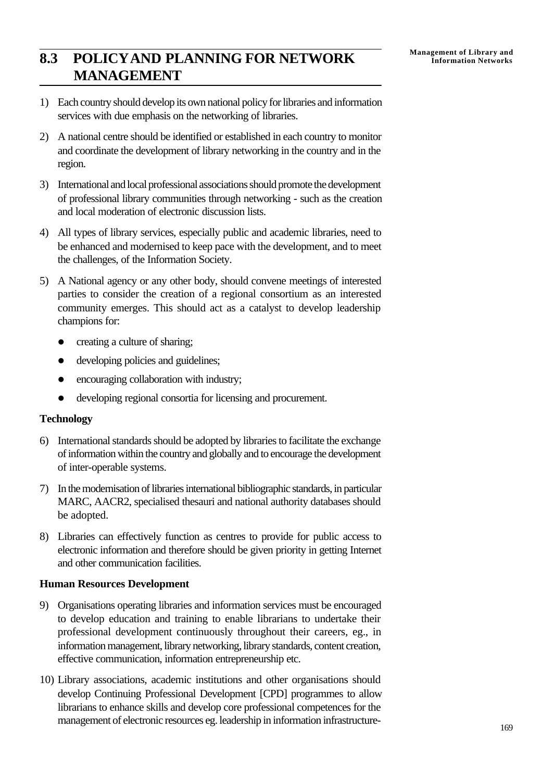## **Management of Library and 8.3 POLICY AND PLANNING FOR NETWORK** Management of Library and **MANAGEMENT**

- 1) Each country should develop its own national policy for libraries and information services with due emphasis on the networking of libraries.
- 2) A national centre should be identified or established in each country to monitor and coordinate the development of library networking in the country and in the region.
- 3) International and local professional associations should promote the development of professional library communities through networking - such as the creation and local moderation of electronic discussion lists.
- 4) All types of library services, especially public and academic libraries, need to be enhanced and modernised to keep pace with the development, and to meet the challenges, of the Information Society.
- 5) A National agency or any other body, should convene meetings of interested parties to consider the creation of a regional consortium as an interested community emerges. This should act as a catalyst to develop leadership champions for:
	- creating a culture of sharing;
	- developing policies and guidelines;
	- encouraging collaboration with industry;
	- developing regional consortia for licensing and procurement.

#### **Technology**

- 6) International standards should be adopted by libraries to facilitate the exchange of information within the country and globally and to encourage the development of inter-operable systems.
- 7) In the modernisation of libraries international bibliographic standards, in particular MARC, AACR2, specialised thesauri and national authority databases should be adopted.
- 8) Libraries can effectively function as centres to provide for public access to electronic information and therefore should be given priority in getting Internet and other communication facilities.

#### **Human Resources Development**

- 9) Organisations operating libraries and information services must be encouraged to develop education and training to enable librarians to undertake their professional development continuously throughout their careers, eg., in information management, library networking, library standards, content creation, effective communication, information entrepreneurship etc.
- 10) Library associations, academic institutions and other organisations should develop Continuing Professional Development [CPD] programmes to allow librarians to enhance skills and develop core professional competences for the management of electronic resources eg. leadership in information infrastructure-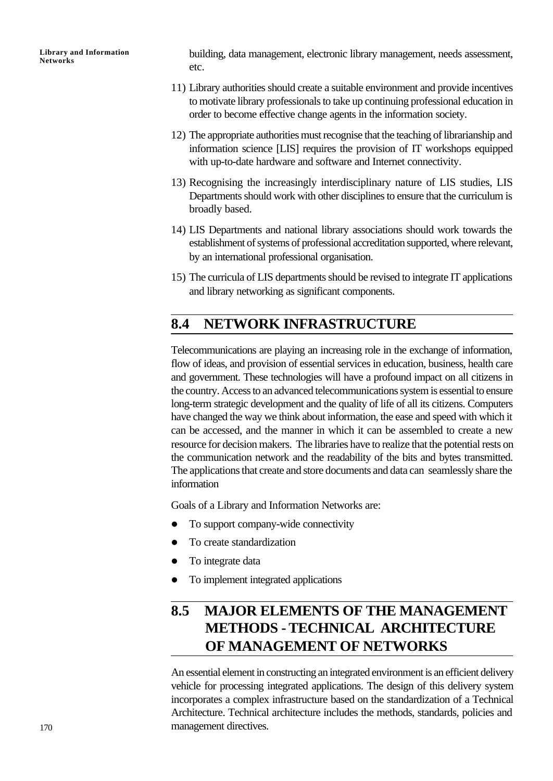building, data management, electronic library management, needs assessment, etc.

- 11) Library authorities should create a suitable environment and provide incentives to motivate library professionals to take up continuing professional education in order to become effective change agents in the information society.
- 12) The appropriate authorities must recognise that the teaching of librarianship and information science [LIS] requires the provision of IT workshops equipped with up-to-date hardware and software and Internet connectivity.
- 13) Recognising the increasingly interdisciplinary nature of LIS studies, LIS Departments should work with other disciplines to ensure that the curriculum is broadly based.
- 14) LIS Departments and national library associations should work towards the establishment of systems of professional accreditation supported, where relevant, by an international professional organisation.
- 15) The curricula of LIS departments should be revised to integrate IT applications and library networking as significant components.

### **8.4 NETWORK INFRASTRUCTURE**

Telecommunications are playing an increasing role in the exchange of information, flow of ideas, and provision of essential services in education, business, health care and government. These technologies will have a profound impact on all citizens in the country. Access to an advanced telecommunications system is essential to ensure long-term strategic development and the quality of life of all its citizens. Computers have changed the way we think about information, the ease and speed with which it can be accessed, and the manner in which it can be assembled to create a new resource for decision makers. The libraries have to realize that the potential rests on the communication network and the readability of the bits and bytes transmitted. The applications that create and store documents and data can seamlessly share the information

Goals of a Library and Information Networks are:

- $\bullet$  To support company-wide connectivity
- To create standardization
- To integrate data
- To implement integrated applications

## **8.5 MAJOR ELEMENTS OF THE MANAGEMENT METHODS - TECHNICAL ARCHITECTURE OF MANAGEMENT OF NETWORKS**

An essential element in constructing an integrated environment is an efficient delivery vehicle for processing integrated applications. The design of this delivery system incorporates a complex infrastructure based on the standardization of a Technical Architecture. Technical architecture includes the methods, standards, policies and management directives.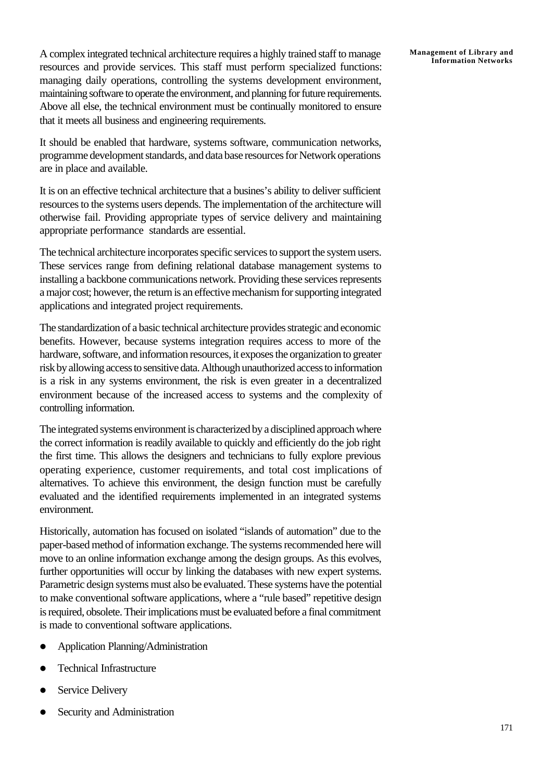A complex integrated technical architecture requires a highly trained staff to manage resources and provide services. This staff must perform specialized functions: managing daily operations, controlling the systems development environment, maintaining software to operate the environment, and planning for future requirements. Above all else, the technical environment must be continually monitored to ensure that it meets all business and engineering requirements.

It should be enabled that hardware, systems software, communication networks, programme development standards, and data base resources for Network operations are in place and available.

It is on an effective technical architecture that a busines's ability to deliver sufficient resources to the systems users depends. The implementation of the architecture will otherwise fail. Providing appropriate types of service delivery and maintaining appropriate performance standards are essential.

The technical architecture incorporates specific services to support the system users. These services range from defining relational database management systems to installing a backbone communications network. Providing these services represents a major cost; however, the return is an effective mechanism for supporting integrated applications and integrated project requirements.

The standardization of a basic technical architecture provides strategic and economic benefits. However, because systems integration requires access to more of the hardware, software, and information resources, it exposes the organization to greater risk by allowing access to sensitive data. Although unauthorized access to information is a risk in any systems environment, the risk is even greater in a decentralized environment because of the increased access to systems and the complexity of controlling information.

The integrated systems environment is characterized by a disciplined approach where the correct information is readily available to quickly and efficiently do the job right the first time. This allows the designers and technicians to fully explore previous operating experience, customer requirements, and total cost implications of alternatives. To achieve this environment, the design function must be carefully evaluated and the identified requirements implemented in an integrated systems environment.

Historically, automation has focused on isolated "islands of automation" due to the paper-based method of information exchange. The systems recommended here will move to an online information exchange among the design groups. As this evolves, further opportunities will occur by linking the databases with new expert systems. Parametric design systems must also be evaluated. These systems have the potential to make conventional software applications, where a "rule based" repetitive design is required, obsolete. Their implications must be evaluated before a final commitment is made to conventional software applications.

- l Application Planning/Administration
- **Technical Infrastructure**
- Service Delivery
- Security and Administration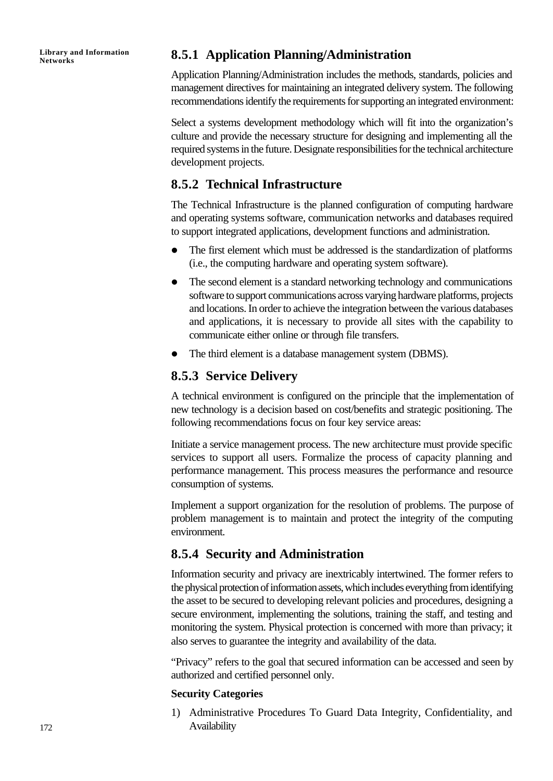**Library and Information**

### **Networks 8.5.1 Application Planning/Administration**

Application Planning/Administration includes the methods, standards, policies and management directives for maintaining an integrated delivery system. The following recommendations identify the requirements for supporting an integrated environment:

Select a systems development methodology which will fit into the organization's culture and provide the necessary structure for designing and implementing all the required systems in the future. Designate responsibilities for the technical architecture development projects.

### **8.5.2 Technical Infrastructure**

The Technical Infrastructure is the planned configuration of computing hardware and operating systems software, communication networks and databases required to support integrated applications, development functions and administration.

- The first element which must be addressed is the standardization of platforms (i.e., the computing hardware and operating system software).
- The second element is a standard networking technology and communications software to support communications across varying hardware platforms, projects and locations. In order to achieve the integration between the various databases and applications, it is necessary to provide all sites with the capability to communicate either online or through file transfers.
- The third element is a database management system (DBMS).

### **8.5.3 Service Delivery**

A technical environment is configured on the principle that the implementation of new technology is a decision based on cost/benefits and strategic positioning. The following recommendations focus on four key service areas:

Initiate a service management process. The new architecture must provide specific services to support all users. Formalize the process of capacity planning and performance management. This process measures the performance and resource consumption of systems.

Implement a support organization for the resolution of problems. The purpose of problem management is to maintain and protect the integrity of the computing environment.

### **8.5.4 Security and Administration**

Information security and privacy are inextricably intertwined. The former refers to the physical protection of information assets, which includes everything from identifying the asset to be secured to developing relevant policies and procedures, designing a secure environment, implementing the solutions, training the staff, and testing and monitoring the system. Physical protection is concerned with more than privacy; it also serves to guarantee the integrity and availability of the data.

"Privacy" refers to the goal that secured information can be accessed and seen by authorized and certified personnel only.

#### **Security Categories**

1) Administrative Procedures To Guard Data Integrity, Confidentiality, and Availability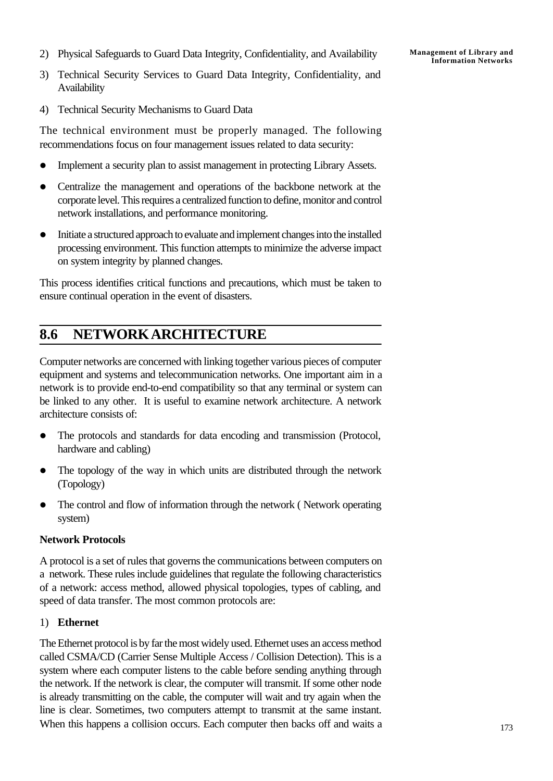2) Physical Safeguards to Guard Data Integrity, Confidentiality, and Availability

- 3) Technical Security Services to Guard Data Integrity, Confidentiality, and Availability
- 4) Technical Security Mechanisms to Guard Data

The technical environment must be properly managed. The following recommendations focus on four management issues related to data security:

- Implement a security plan to assist management in protecting Library Assets.
- Centralize the management and operations of the backbone network at the corporate level. This requires a centralized function to define, monitor and control network installations, and performance monitoring.
- Initiate a structured approach to evaluate and implement changes into the installed processing environment. This function attempts to minimize the adverse impact on system integrity by planned changes.

This process identifies critical functions and precautions, which must be taken to ensure continual operation in the event of disasters.

## **8.6 NETWORK ARCHITECTURE**

Computer networks are concerned with linking together various pieces of computer equipment and systems and telecommunication networks. One important aim in a network is to provide end-to-end compatibility so that any terminal or system can be linked to any other. It is useful to examine network architecture. A network architecture consists of:

- The protocols and standards for data encoding and transmission (Protocol, hardware and cabling)
- The topology of the way in which units are distributed through the network (Topology)
- The control and flow of information through the network ( Network operating system)

### **Network Protocols**

A protocol is a set of rules that governs the communications between computers on a network. These rules include guidelines that regulate the following characteristics of a network: access method, allowed physical topologies, types of cabling, and speed of data transfer. The most common protocols are:

### 1) **Ethernet**

The Ethernet protocol is by far the most widely used. Ethernet uses an access method called CSMA/CD (Carrier Sense Multiple Access / Collision Detection). This is a system where each computer listens to the cable before sending anything through the network. If the network is clear, the computer will transmit. If some other node is already transmitting on the cable, the computer will wait and try again when the line is clear. Sometimes, two computers attempt to transmit at the same instant. When this happens a collision occurs. Each computer then backs off and waits a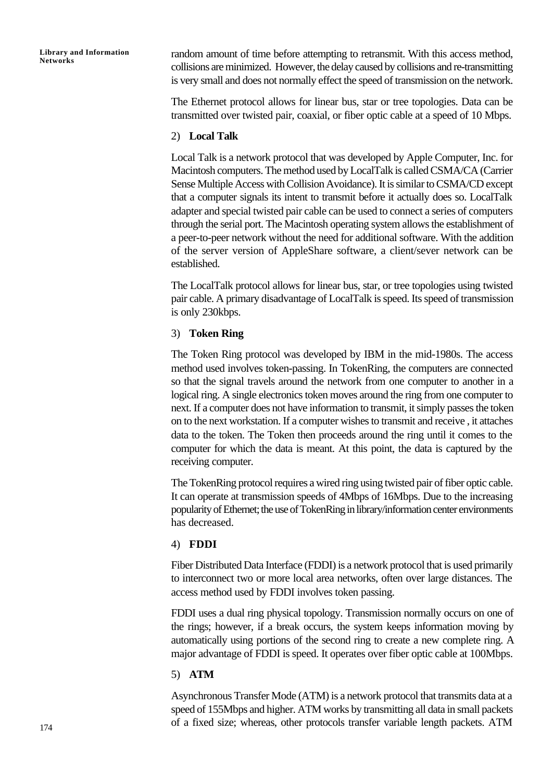random amount of time before attempting to retransmit. With this access method, collisions are minimized. However, the delay caused by collisions and re-transmitting is very small and does not normally effect the speed of transmission on the network.

The Ethernet protocol allows for linear bus, star or tree topologies. Data can be transmitted over twisted pair, coaxial, or fiber optic cable at a speed of 10 Mbps.

#### 2) **Local Talk**

Local Talk is a network protocol that was developed by Apple Computer, Inc. for Macintosh computers. The method used by LocalTalk is called CSMA/CA (Carrier Sense Multiple Access with Collision Avoidance). It is similar to CSMA/CD except that a computer signals its intent to transmit before it actually does so. LocalTalk adapter and special twisted pair cable can be used to connect a series of computers through the serial port. The Macintosh operating system allows the establishment of a peer-to-peer network without the need for additional software. With the addition of the server version of AppleShare software, a client/sever network can be established.

The LocalTalk protocol allows for linear bus, star, or tree topologies using twisted pair cable. A primary disadvantage of LocalTalk is speed. Its speed of transmission is only 230kbps.

#### 3) **Token Ring**

The Token Ring protocol was developed by IBM in the mid-1980s. The access method used involves token-passing. In TokenRing, the computers are connected so that the signal travels around the network from one computer to another in a logical ring. A single electronics token moves around the ring from one computer to next. If a computer does not have information to transmit, it simply passes the token on to the next workstation. If a computer wishes to transmit and receive , it attaches data to the token. The Token then proceeds around the ring until it comes to the computer for which the data is meant. At this point, the data is captured by the receiving computer.

The TokenRing protocol requires a wired ring using twisted pair of fiber optic cable. It can operate at transmission speeds of 4Mbps of 16Mbps. Due to the increasing popularity of Ethernet; the use of TokenRing in library/information center environments has decreased.

#### 4) **FDDI**

Fiber Distributed Data Interface (FDDI) is a network protocol that is used primarily to interconnect two or more local area networks, often over large distances. The access method used by FDDI involves token passing.

FDDI uses a dual ring physical topology. Transmission normally occurs on one of the rings; however, if a break occurs, the system keeps information moving by automatically using portions of the second ring to create a new complete ring. A major advantage of FDDI is speed. It operates over fiber optic cable at 100Mbps.

#### 5) **ATM**

Asynchronous Transfer Mode (ATM) is a network protocol that transmits data at a speed of 155Mbps and higher. ATM works by transmitting all data in small packets of a fixed size; whereas, other protocols transfer variable length packets. ATM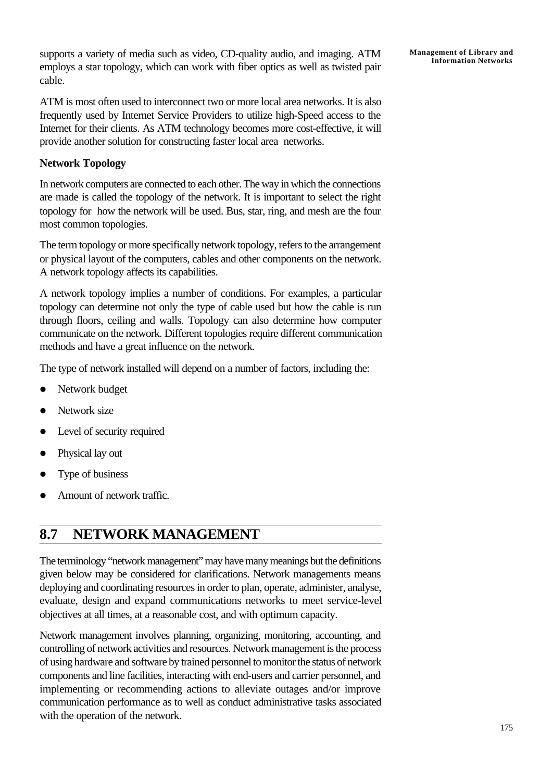supports a variety of media such as video, CD-quality audio, and imaging. ATM employs a star topology, which can work with fiber optics as well as twisted pair cable.

ATM is most often used to interconnect two or more local area networks. It is also frequently used by Internet Service Providers to utilize high-Speed access to the Internet for their clients. As ATM technology becomes more cost-effective, it will provide another solution for constructing faster local area networks.

#### **Network Topology**

In network computers are connected to each other. The way in which the connections are made is called the topology of the network. It is important to select the right topology for how the network will be used. Bus, star, ring, and mesh are the four most common topologies.

The term topology or more specifically network topology, refers to the arrangement or physical layout of the computers, cables and other components on the network. A network topology affects its capabilities.

A network topology implies a number of conditions. For examples, a particular topology can determine not only the type of cable used but how the cable is run through floors, ceiling and walls. Topology can also determine how computer communicate on the network. Different topologies require different communication methods and have a great influence on the network.

The type of network installed will depend on a number of factors, including the:

- Network budget
- Network size
- Level of security required
- Physical lay out
- Type of business
- Amount of network traffic.

## **8.7 NETWORK MANAGEMENT**

The terminology "network management" may have many meanings but the definitions given below may be considered for clarifications. Network managements means deploying and coordinating resources in order to plan, operate, administer, analyse, evaluate, design and expand communications networks to meet service-level objectives at all times, at a reasonable cost, and with optimum capacity.

Network management involves planning, organizing, monitoring, accounting, and controlling of network activities and resources. Network management is the process of using hardware and software by trained personnel to monitor the status of network components and line facilities, interacting with end-users and carrier personnel, and implementing or recommending actions to alleviate outages and/or improve communication performance as to well as conduct administrative tasks associated with the operation of the network.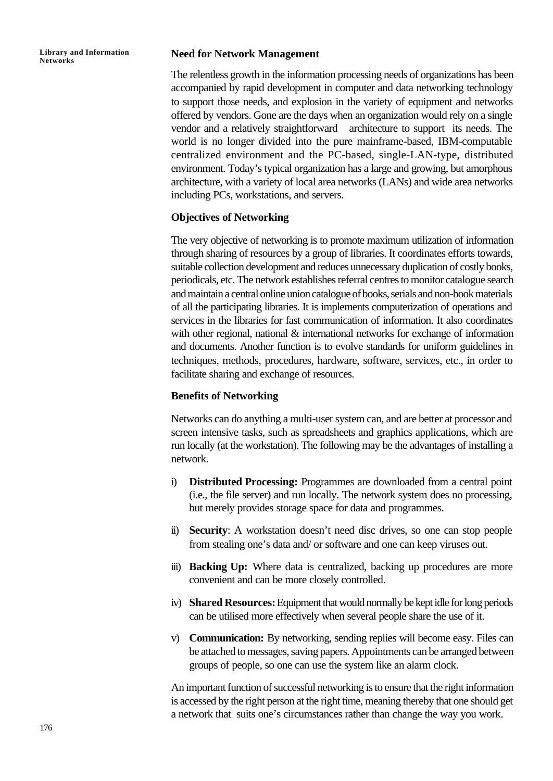#### **Need for Network Management**

The relentless growth in the information processing needs of organizations has been accompanied by rapid development in computer and data networking technology to support those needs, and explosion in the variety of equipment and networks offered by vendors. Gone are the days when an organization would rely on a single vendor and a relatively straightforward architecture to support its needs. The world is no longer divided into the pure mainframe-based, IBM-computable centralized environment and the PC-based, single-LAN-type, distributed environment. Today's typical organization has a large and growing, but amorphous architecture, with a variety of local area networks (LANs) and wide area networks including PCs, workstations, and servers.

#### **Objectives of Networking**

The very objective of networking is to promote maximum utilization of information through sharing of resources by a group of libraries. It coordinates efforts towards, suitable collection development and reduces unnecessary duplication of costly books, periodicals, etc. The network establishes referral centres to monitor catalogue search and maintain a central online union catalogue of books, serials and non-book materials of all the participating libraries. It is implements computerization of operations and services in the libraries for fast communication of information. It also coordinates with other regional, national & international networks for exchange of information and documents. Another function is to evolve standards for uniform guidelines in techniques, methods, procedures, hardware, software, services, etc., in order to facilitate sharing and exchange of resources.

#### **Benefits of Networking**

Networks can do anything a multi-user system can, and are better at processor and screen intensive tasks, such as spreadsheets and graphics applications, which are run locally (at the workstation). The following may be the advantages of installing a network.

- i) **Distributed Processing:** Programmes are downloaded from a central point (i.e., the file server) and run locally. The network system does no processing, but merely provides storage space for data and programmes.
- ii) **Security**: A workstation doesn't need disc drives, so one can stop people from stealing one's data and/ or software and one can keep viruses out.
- iii) **Backing Up:** Where data is centralized, backing up procedures are more convenient and can be more closely controlled.
- iv) **Shared Resources:** Equipment that would normally be kept idle for long periods can be utilised more effectively when several people share the use of it.
- v) **Communication:** By networking, sending replies will become easy. Files can be attached to messages, saving papers. Appointments can be arranged between groups of people, so one can use the system like an alarm clock.

An important function of successful networking is to ensure that the right information is accessed by the right person at the right time, meaning thereby that one should get a network that suits one's circumstances rather than change the way you work.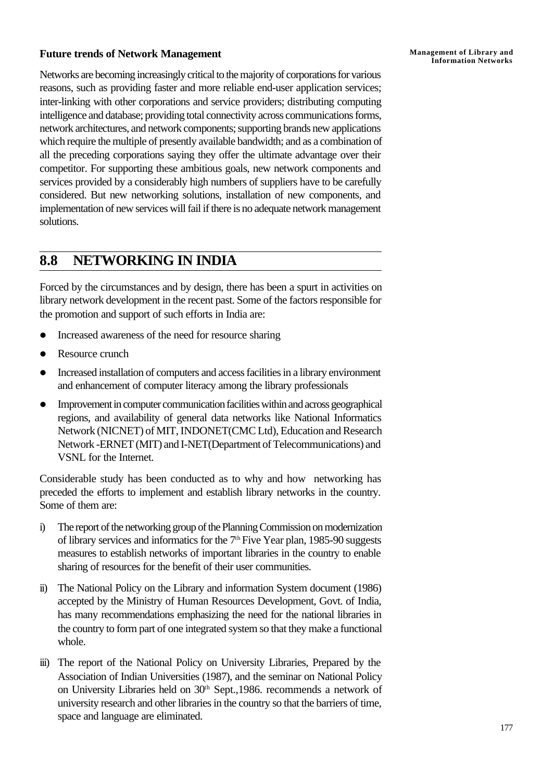#### **Future trends of Network Management**

Networks are becoming increasingly critical to the majority of corporations for various reasons, such as providing faster and more reliable end-user application services; inter-linking with other corporations and service providers; distributing computing intelligence and database; providing total connectivity across communications forms, network architectures, and network components; supporting brands new applications which require the multiple of presently available bandwidth; and as a combination of all the preceding corporations saying they offer the ultimate advantage over their competitor. For supporting these ambitious goals, new network components and services provided by a considerably high numbers of suppliers have to be carefully considered. But new networking solutions, installation of new components, and implementation of new services will fail if there is no adequate network management solutions.

### **8.8 NETWORKING IN INDIA**

Forced by the circumstances and by design, there has been a spurt in activities on library network development in the recent past. Some of the factors responsible for the promotion and support of such efforts in India are:

- Increased awareness of the need for resource sharing
- Resource crunch
- Increased installation of computers and access facilities in a library environment and enhancement of computer literacy among the library professionals
- **•** Improvement in computer communication facilities within and across geographical regions, and availability of general data networks like National Informatics Network (NICNET) of MIT, INDONET(CMC Ltd), Education and Research Network -ERNET (MIT) and I-NET(Department of Telecommunications) and VSNL for the Internet.

Considerable study has been conducted as to why and how networking has preceded the efforts to implement and establish library networks in the country. Some of them are:

- i) The report of the networking group of the Planning Commission on modernization of library services and informatics for the 7th Five Year plan, 1985-90 suggests measures to establish networks of important libraries in the country to enable sharing of resources for the benefit of their user communities.
- ii) The National Policy on the Library and information System document (1986) accepted by the Ministry of Human Resources Development, Govt. of India, has many recommendations emphasizing the need for the national libraries in the country to form part of one integrated system so that they make a functional whole.
- iii) The report of the National Policy on University Libraries, Prepared by the Association of Indian Universities (1987), and the seminar on National Policy on University Libraries held on 30<sup>th</sup> Sept.,1986. recommends a network of university research and other libraries in the country so that the barriers of time, space and language are eliminated.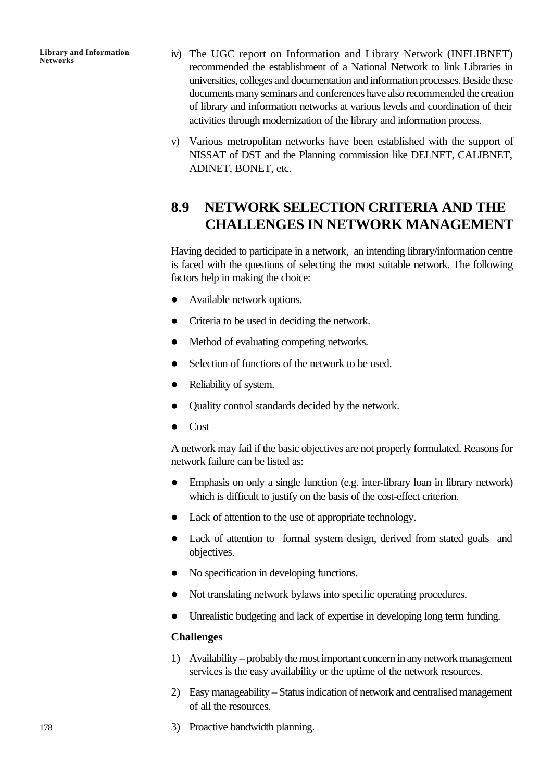- iv) The UGC report on Information and Library Network (INFLIBNET) recommended the establishment of a National Network to link Libraries in universities, colleges and documentation and information processes. Beside these documents many seminars and conferences have also recommended the creation of library and information networks at various levels and coordination of their activities through modernization of the library and information process.
- v) Various metropolitan networks have been established with the support of NISSAT of DST and the Planning commission like DELNET, CALIBNET, ADINET, BONET, etc.

## **8.9 NETWORK SELECTION CRITERIA AND THE CHALLENGES IN NETWORK MANAGEMENT**

Having decided to participate in a network, an intending library/information centre is faced with the questions of selecting the most suitable network. The following factors help in making the choice:

- Available network options.
- Criteria to be used in deciding the network.
- Method of evaluating competing networks.
- Selection of functions of the network to be used.
- Reliability of system.
- Quality control standards decided by the network.
- $\bullet$  Cost

A network may fail if the basic objectives are not properly formulated. Reasons for network failure can be listed as:

- Emphasis on only a single function (e.g. inter-library loan in library network) which is difficult to justify on the basis of the cost-effect criterion.
- Lack of attention to the use of appropriate technology.
- Lack of attention to formal system design, derived from stated goals and objectives.
- No specification in developing functions.
- Not translating network bylaws into specific operating procedures.
- Unrealistic budgeting and lack of expertise in developing long term funding.

#### **Challenges**

- 1) Availability probably the most important concern in any network management services is the easy availability or the uptime of the network resources.
- 2) Easy manageability Status indication of network and centralised management of all the resources.
- 3) Proactive bandwidth planning.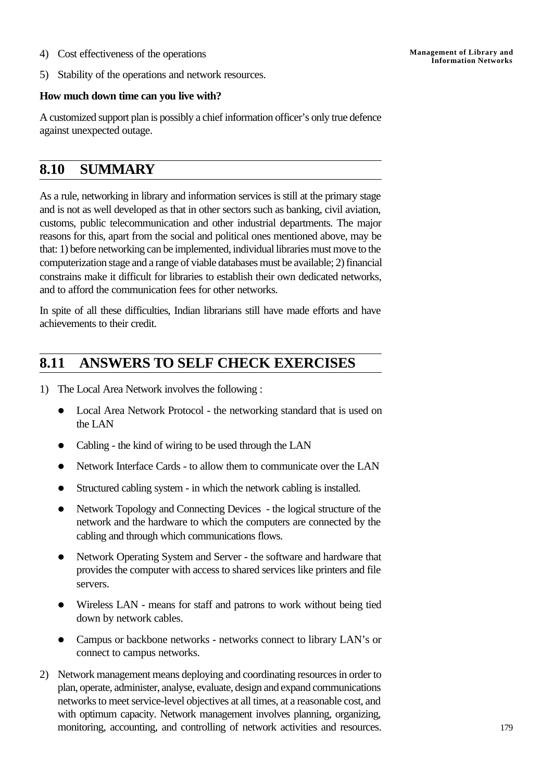4) Cost effectiveness of the operations

5) Stability of the operations and network resources.

#### **How much down time can you live with?**

A customized support plan is possibly a chief information officer's only true defence against unexpected outage.

## **8.10 SUMMARY**

As a rule, networking in library and information services is still at the primary stage and is not as well developed as that in other sectors such as banking, civil aviation, customs, public telecommunication and other industrial departments. The major reasons for this, apart from the social and political ones mentioned above, may be that: 1) before networking can be implemented, individual libraries must move to the computerization stage and a range of viable databases must be available; 2) financial constrains make it difficult for libraries to establish their own dedicated networks, and to afford the communication fees for other networks.

In spite of all these difficulties, Indian librarians still have made efforts and have achievements to their credit.

## **8.11 ANSWERS TO SELF CHECK EXERCISES**

- 1) The Local Area Network involves the following :
	- Local Area Network Protocol the networking standard that is used on the LAN
	- Cabling the kind of wiring to be used through the LAN
	- Network Interface Cards to allow them to communicate over the LAN
	- Structured cabling system in which the network cabling is installed.
	- Network Topology and Connecting Devices the logical structure of the network and the hardware to which the computers are connected by the cabling and through which communications flows.
	- Network Operating System and Server the software and hardware that provides the computer with access to shared services like printers and file servers.
	- Wireless LAN means for staff and patrons to work without being tied down by network cables.
	- Campus or backbone networks networks connect to library LAN's or connect to campus networks.
- 2) Network management means deploying and coordinating resources in order to plan, operate, administer, analyse, evaluate, design and expand communications networks to meet service-level objectives at all times, at a reasonable cost, and with optimum capacity. Network management involves planning, organizing, monitoring, accounting, and controlling of network activities and resources.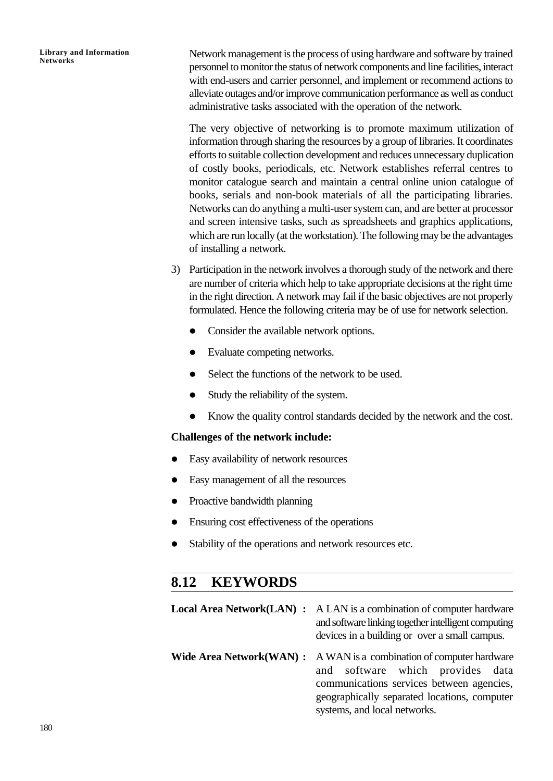Network management is the process of using hardware and software by trained personnel to monitor the status of network components and line facilities, interact with end-users and carrier personnel, and implement or recommend actions to alleviate outages and/or improve communication performance as well as conduct administrative tasks associated with the operation of the network.

The very objective of networking is to promote maximum utilization of information through sharing the resources by a group of libraries. It coordinates efforts to suitable collection development and reduces unnecessary duplication of costly books, periodicals, etc. Network establishes referral centres to monitor catalogue search and maintain a central online union catalogue of books, serials and non-book materials of all the participating libraries. Networks can do anything a multi-user system can, and are better at processor and screen intensive tasks, such as spreadsheets and graphics applications, which are run locally (at the workstation). The following may be the advantages of installing a network.

- 3) Participation in the network involves a thorough study of the network and there are number of criteria which help to take appropriate decisions at the right time in the right direction. A network may fail if the basic objectives are not properly formulated. Hence the following criteria may be of use for network selection.
	- Consider the available network options.
	- Evaluate competing networks.
	- Select the functions of the network to be used.
	- Study the reliability of the system.
	- Know the quality control standards decided by the network and the cost.

#### **Challenges of the network include:**

- l Easy availability of network resources
- l Easy management of all the resources
- Proactive bandwidth planning
- Ensuring cost effectiveness of the operations
- Stability of the operations and network resources etc.

### **8.12 KEYWORDS**

| <b>Local Area Network(LAN) :</b> | A LAN is a combination of computer hardware<br>and software linking together intelligent computing<br>devices in a building or over a small campus.                                                                                           |
|----------------------------------|-----------------------------------------------------------------------------------------------------------------------------------------------------------------------------------------------------------------------------------------------|
|                                  | <b>Wide Area Network (WAN) :</b> A WAN is a combination of computer hardware<br>and software which provides data<br>communications services between agencies,<br>geographically separated locations, computer<br>systems, and local networks. |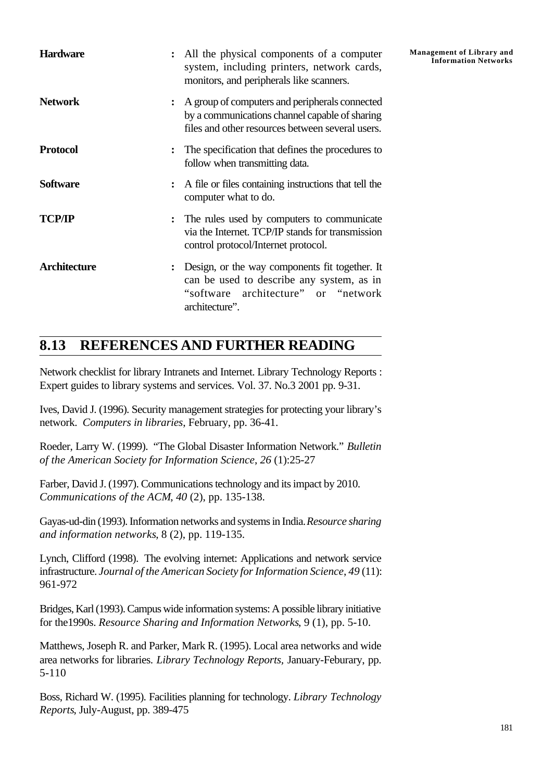| <b>Hardware</b> | : All the physical components of a computer<br>system, including printers, network cards,<br>monitors, and peripherals like scanners.                  | <b>Management of Library and</b><br><b>Information Networks</b> |
|-----------------|--------------------------------------------------------------------------------------------------------------------------------------------------------|-----------------------------------------------------------------|
| <b>Network</b>  | : A group of computers and peripherals connected<br>by a communications channel capable of sharing<br>files and other resources between several users. |                                                                 |
| <b>Protocol</b> | The specification that defines the procedures to<br>follow when transmitting data.                                                                     |                                                                 |
| <b>Software</b> | : A file or files containing instructions that tell the<br>computer what to do.                                                                        |                                                                 |
| <b>TCP/IP</b>   | The rules used by computers to communicate<br>via the Internet. TCP/IP stands for transmission<br>control protocol/Internet protocol.                  |                                                                 |
| Architecture    | Design, or the way components fit together. It<br>can be used to describe any system, as in<br>"software architecture" or "network"<br>architecture".  |                                                                 |

## **8.13 REFERENCES AND FURTHER READING**

Network checklist for library Intranets and Internet. Library Technology Reports : Expert guides to library systems and services. Vol. 37. No.3 2001 pp. 9-31.

Ives, David J. (1996). Security management strategies for protecting your library's network. *Computers in libraries*, February, pp. 36-41.

Roeder, Larry W. (1999). "The Global Disaster Information Network." *Bulletin of the American Society for Information Science*, *26* (1):25-27

Farber, David J. (1997). Communications technology and its impact by 2010. *Communications of the ACM*, *40* (2), pp. 135-138.

Gayas-ud-din (1993). Information networks and systems in India. *Resource sharing and information networks*, 8 (2), pp. 119-135.

Lynch, Clifford (1998). The evolving internet: Applications and network service infrastructure. *Journal of the American Society for Information Science*, *49* (11): 961-972

Bridges, Karl (1993). Campus wide information systems: A possible library initiative for the1990s. *Resource Sharing and Information Networks*, 9 (1), pp. 5-10.

Matthews, Joseph R. and Parker, Mark R. (1995). Local area networks and wide area networks for libraries. *Library Technology Reports,* January-Feburary, pp. 5-110

Boss, Richard W. (1995). Facilities planning for technology. *Library Technology Reports*, July-August, pp. 389-475